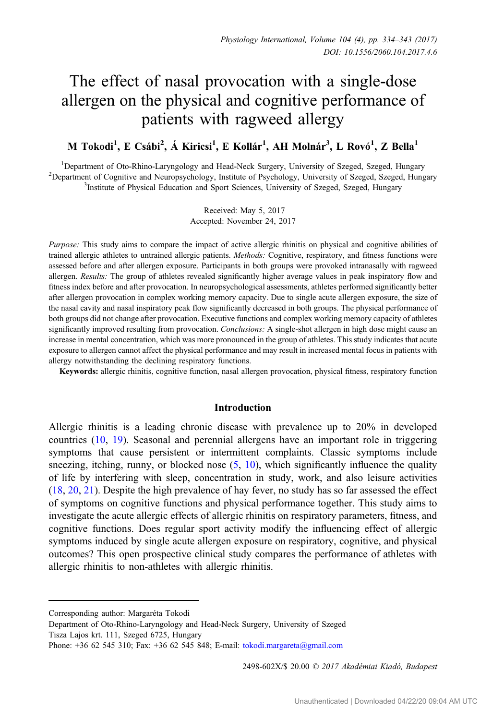# The effect of nasal provocation with a single-dose allergen on the physical and cognitive performance of patients with ragweed allergy

M Tokodi<sup>1</sup>, E Csábi<sup>2</sup>, Á Kiricsi<sup>1</sup>, E Kollár<sup>1</sup>, AH Molnár<sup>3</sup>, L Rovó<sup>1</sup>, Z Bella<sup>1</sup>

<sup>1</sup>Department of Oto-Rhino-Laryngology and Head-Neck Surgery, University of Szeged, Szeged, Hungary <sup>1</sup>Department of Oto-Rhino-Laryngology and Head-Neck Surgery, University of Szeged, Szeged, Hungary<br><sup>2</sup>Department of Cognitive and Neuronsychology, Institute of Psychology, University of Szeged, Szeged, Hung Department of Cognitive and Neuropsychology, Institute of Psychology, University of Szeged, Szeged, Hungary<br><sup>3</sup>Institute of Physical Education and Sport Sciences University of Szeged, Szeged, Hungary <sup>3</sup>Institute of Physical Education and Sport Sciences, University of Szeged, Szeged, Hungary

> Received: May 5, 2017 Accepted: November 24, 2017

Purpose: This study aims to compare the impact of active allergic rhinitis on physical and cognitive abilities of trained allergic athletes to untrained allergic patients. Methods: Cognitive, respiratory, and fitness functions were assessed before and after allergen exposure. Participants in both groups were provoked intranasally with ragweed allergen. Results: The group of athletes revealed significantly higher average values in peak inspiratory flow and fitness index before and after provocation. In neuropsychological assessments, athletes performed significantly better after allergen provocation in complex working memory capacity. Due to single acute allergen exposure, the size of the nasal cavity and nasal inspiratory peak flow significantly decreased in both groups. The physical performance of both groups did not change after provocation. Executive functions and complex working memory capacity of athletes significantly improved resulting from provocation. Conclusions: A single-shot allergen in high dose might cause an increase in mental concentration, which was more pronounced in the group of athletes. This study indicates that acute exposure to allergen cannot affect the physical performance and may result in increased mental focus in patients with allergy notwithstanding the declining respiratory functions.

Keywords: allergic rhinitis, cognitive function, nasal allergen provocation, physical fitness, respiratory function

## Introduction

Allergic rhinitis is a leading chronic disease with prevalence up to 20% in developed countries ([10,](#page-7-0) [19](#page-8-0)). Seasonal and perennial allergens have an important role in triggering symptoms that cause persistent or intermittent complaints. Classic symptoms include sneezing, itching, runny, or blocked nose  $(5, 10)$  $(5, 10)$  $(5, 10)$  $(5, 10)$ , which significantly influence the quality of life by interfering with sleep, concentration in study, work, and also leisure activities [\(18](#page-8-0), [20](#page-8-0), [21](#page-8-0)). Despite the high prevalence of hay fever, no study has so far assessed the effect of symptoms on cognitive functions and physical performance together. This study aims to investigate the acute allergic effects of allergic rhinitis on respiratory parameters, fitness, and cognitive functions. Does regular sport activity modify the influencing effect of allergic symptoms induced by single acute allergen exposure on respiratory, cognitive, and physical outcomes? This open prospective clinical study compares the performance of athletes with allergic rhinitis to non-athletes with allergic rhinitis.

2498-602X/\$ 20.00 © 2017 Akadémiai Kiadó, Budapest

Corresponding author: Margaréta Tokodi

Department of Oto-Rhino-Laryngology and Head-Neck Surgery, University of Szeged Tisza Lajos krt. 111, Szeged 6725, Hungary

Phone:  $+36$  62 545 310; Fax:  $+36$  62 545 848; E-mail: [tokodi.margareta@gmail.com](mailto:tokodi.margareta@gmail.com)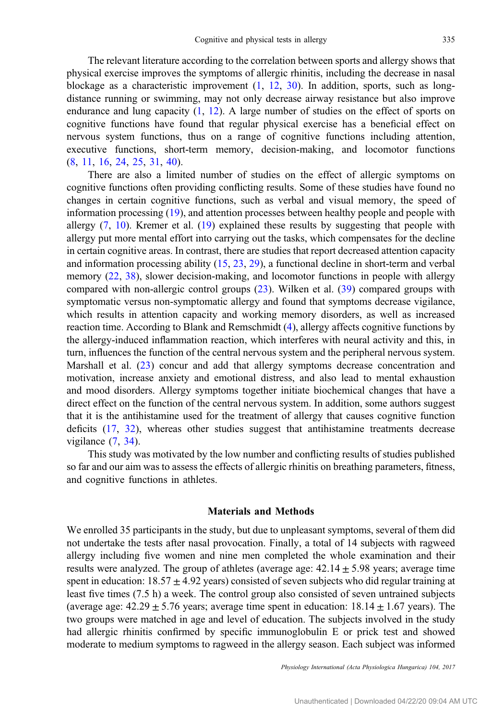The relevant literature according to the correlation between sports and allergy shows that physical exercise improves the symptoms of allergic rhinitis, including the decrease in nasal blockage as a characteristic improvement  $(1, 12, 30)$  $(1, 12, 30)$  $(1, 12, 30)$  $(1, 12, 30)$  $(1, 12, 30)$ . In addition, sports, such as longdistance running or swimming, may not only decrease airway resistance but also improve endurance and lung capacity  $(1, 12)$  $(1, 12)$  $(1, 12)$  $(1, 12)$ . A large number of studies on the effect of sports on cognitive functions have found that regular physical exercise has a beneficial effect on nervous system functions, thus on a range of cognitive functions including attention, executive functions, short-term memory, decision-making, and locomotor functions [\(8](#page-7-0), [11](#page-7-0), [16](#page-8-0), [24](#page-8-0), [25](#page-8-0), [31](#page-8-0), [40](#page-9-0)).

There are also a limited number of studies on the effect of allergic symptoms on cognitive functions often providing conflicting results. Some of these studies have found no changes in certain cognitive functions, such as verbal and visual memory, the speed of information processing ([19\)](#page-8-0), and attention processes between healthy people and people with allergy  $(7, 10)$  $(7, 10)$  $(7, 10)$  $(7, 10)$ . Kremer et al.  $(19)$  $(19)$  explained these results by suggesting that people with allergy put more mental effort into carrying out the tasks, which compensates for the decline in certain cognitive areas. In contrast, there are studies that report decreased attention capacity and information processing ability [\(15](#page-8-0), [23](#page-8-0), [29](#page-8-0)), a functional decline in short-term and verbal memory  $(22, 38)$  $(22, 38)$  $(22, 38)$  $(22, 38)$  $(22, 38)$ , slower decision-making, and locomotor functions in people with allergy compared with non-allergic control groups [\(23](#page-8-0)). Wilken et al. [\(39](#page-9-0)) compared groups with symptomatic versus non-symptomatic allergy and found that symptoms decrease vigilance, which results in attention capacity and working memory disorders, as well as increased reaction time. According to Blank and Remschmidt [\(4](#page-7-0)), allergy affects cognitive functions by the allergy-induced inflammation reaction, which interferes with neural activity and this, in turn, influences the function of the central nervous system and the peripheral nervous system. Marshall et al. [\(23](#page-8-0)) concur and add that allergy symptoms decrease concentration and motivation, increase anxiety and emotional distress, and also lead to mental exhaustion and mood disorders. Allergy symptoms together initiate biochemical changes that have a direct effect on the function of the central nervous system. In addition, some authors suggest that it is the antihistamine used for the treatment of allergy that causes cognitive function deficits [\(17](#page-8-0), [32](#page-8-0)), whereas other studies suggest that antihistamine treatments decrease vigilance  $(7, 34)$  $(7, 34)$  $(7, 34)$  $(7, 34)$ .

This study was motivated by the low number and conflicting results of studies published so far and our aim was to assess the effects of allergic rhinitis on breathing parameters, fitness, and cognitive functions in athletes.

#### Materials and Methods

We enrolled 35 participants in the study, but due to unpleasant symptoms, several of them did not undertake the tests after nasal provocation. Finally, a total of 14 subjects with ragweed allergy including five women and nine men completed the whole examination and their results were analyzed. The group of athletes (average age:  $42.14 \pm 5.98$  years; average time spent in education:  $18.57 \pm 4.92$  years) consisted of seven subjects who did regular training at least five times (7.5 h) a week. The control group also consisted of seven untrained subjects (average age:  $42.29 \pm 5.76$  years; average time spent in education:  $18.14 \pm 1.67$  years). The two groups were matched in age and level of education. The subjects involved in the study had allergic rhinitis confirmed by specific immunoglobulin E or prick test and showed moderate to medium symptoms to ragweed in the allergy season. Each subject was informed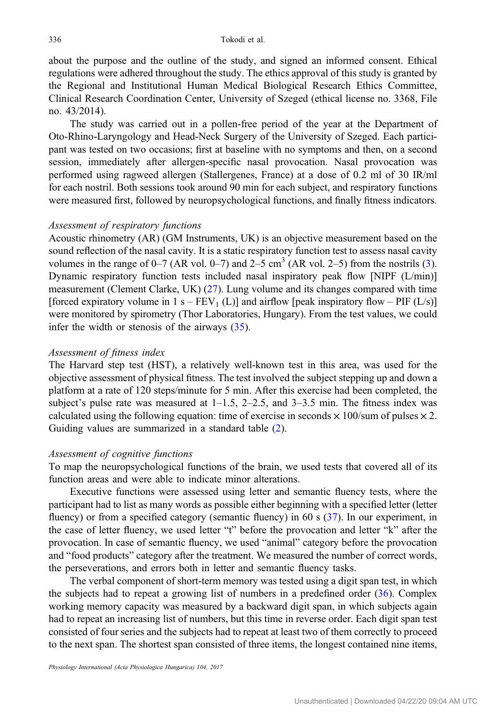about the purpose and the outline of the study, and signed an informed consent. Ethical regulations were adhered throughout the study. The ethics approval of this study is granted by the Regional and Institutional Human Medical Biological Research Ethics Committee, Clinical Research Coordination Center, University of Szeged (ethical license no. 3368, File no. 43/2014).

The study was carried out in a pollen-free period of the year at the Department of Oto-Rhino-Laryngology and Head-Neck Surgery of the University of Szeged. Each participant was tested on two occasions; first at baseline with no symptoms and then, on a second session, immediately after allergen-specific nasal provocation. Nasal provocation was performed using ragweed allergen (Stallergenes, France) at a dose of 0.2 ml of 30 IR/ml for each nostril. Both sessions took around 90 min for each subject, and respiratory functions were measured first, followed by neuropsychological functions, and finally fitness indicators.

# Assessment of respiratory functions

Acoustic rhinometry (AR) (GM Instruments, UK) is an objective measurement based on the sound reflection of the nasal cavity. It is a static respiratory function test to assess nasal cavity volumes in the range of 0–7 (AR vol. 0–7) and 2–5 cm<sup>3</sup> (AR vol. 2–5) from the nostrils [\(3](#page-7-0)). Dynamic respiratory function tests included nasal inspiratory peak flow [NIPF (L/min)] measurement (Clement Clarke, UK) ([27\)](#page-8-0). Lung volume and its changes compared with time [forced expiratory volume in 1 s –  $FEV_1(L)$ ] and airflow [peak inspiratory flow – PIF (L/s)] were monitored by spirometry (Thor Laboratories, Hungary). From the test values, we could infer the width or stenosis of the airways [\(35](#page-8-0)).

#### Assessment of fitness index

The Harvard step test (HST), a relatively well-known test in this area, was used for the objective assessment of physical fitness. The test involved the subject stepping up and down a platform at a rate of 120 steps/minute for 5 min. After this exercise had been completed, the subject's pulse rate was measured at  $1-1.5$ ,  $2-2.5$ , and  $3-3.5$  min. The fitness index was calculated using the following equation: time of exercise in seconds  $\times$  100/sum of pulses  $\times$  2. Guiding values are summarized in a standard table [\(2](#page-7-0)).

#### Assessment of cognitive functions

To map the neuropsychological functions of the brain, we used tests that covered all of its function areas and were able to indicate minor alterations.

Executive functions were assessed using letter and semantic fluency tests, where the participant had to list as many words as possible either beginning with a specified letter (letter fluency) or from a specified category (semantic fluency) in 60 s ([37\)](#page-8-0). In our experiment, in the case of letter fluency, we used letter "t" before the provocation and letter "k" after the provocation. In case of semantic fluency, we used "animal" category before the provocation and "food products" category after the treatment. We measured the number of correct words, the perseverations, and errors both in letter and semantic fluency tasks.

The verbal component of short-term memory was tested using a digit span test, in which the subjects had to repeat a growing list of numbers in a predefined order  $(36)$  $(36)$ . Complex working memory capacity was measured by a backward digit span, in which subjects again had to repeat an increasing list of numbers, but this time in reverse order. Each digit span test consisted of four series and the subjects had to repeat at least two of them correctly to proceed to the next span. The shortest span consisted of three items, the longest contained nine items,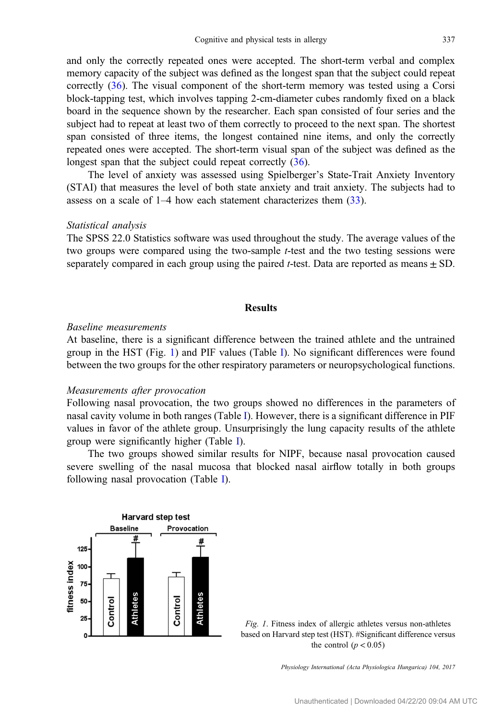<span id="page-3-0"></span>and only the correctly repeated ones were accepted. The short-term verbal and complex memory capacity of the subject was defined as the longest span that the subject could repeat correctly [\(36](#page-8-0)). The visual component of the short-term memory was tested using a Corsi block-tapping test, which involves tapping 2-cm-diameter cubes randomly fixed on a black board in the sequence shown by the researcher. Each span consisted of four series and the subject had to repeat at least two of them correctly to proceed to the next span. The shortest span consisted of three items, the longest contained nine items, and only the correctly repeated ones were accepted. The short-term visual span of the subject was defined as the longest span that the subject could repeat correctly  $(36)$  $(36)$ .

The level of anxiety was assessed using Spielberger's State-Trait Anxiety Inventory (STAI) that measures the level of both state anxiety and trait anxiety. The subjects had to assess on a scale of 1–4 how each statement characterizes them ([33\)](#page-8-0).

## Statistical analysis

The SPSS 22.0 Statistics software was used throughout the study. The average values of the two groups were compared using the two-sample t-test and the two testing sessions were separately compared in each group using the paired t-test. Data are reported as means  $\pm$  SD.

#### Results

## Baseline measurements

At baseline, there is a significant difference between the trained athlete and the untrained group in the HST (Fig. 1) and P[I](#page-4-0)F values (Table I). No significant differences were found between the two groups for the other respiratory parameters or neuropsychological functions.

## Measurements after provocation

Following nasal provocation, the two groups showed no differences in the parameters of nasal cavity volume in both ranges (Table [I](#page-4-0)). However, there is a significant difference in PIF values in favor of the athlete group. Unsurprisingly the lung capacity results of the athlete group were significantly higher (Table [I](#page-4-0)).

The two groups showed similar results for NIPF, because nasal provocation caused severe swelling of the nasal mucosa that blocked nasal airflow totally in both groups following nasal provocation (Table [I](#page-4-0)).



Fig. 1. Fitness index of allergic athletes versus non-athletes based on Harvard step test (HST). #Significant difference versus the control  $(p < 0.05)$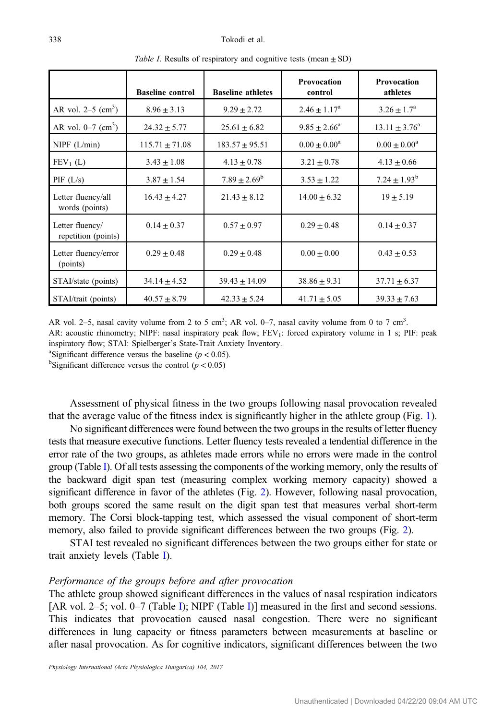<span id="page-4-0"></span>

|                                        | <b>Baseline control</b> | <b>Baseline athletes</b> | Provocation<br>control  | <b>Provocation</b><br>athletes |
|----------------------------------------|-------------------------|--------------------------|-------------------------|--------------------------------|
| AR vol. $2-5$ (cm <sup>3</sup> )       | $8.96 \pm 3.13$         | $9.29 \pm 2.72$          | $2.46 \pm 1.17^{\rm a}$ | $3.26 \pm 1.7^{\rm a}$         |
| AR vol. $0-7$ (cm <sup>3</sup> )       | $24.32 \pm 5.77$        | $25.61 \pm 6.82$         | $9.85 \pm 2.66^{\circ}$ | $13.11 \pm 3.76^{\circ}$       |
| $NIPF$ ( $L/min$ )                     | $115.71 \pm 71.08$      | $183.57 \pm 95.51$       | $0.00 \pm 0.00^a$       | $0.00 \pm 0.00^a$              |
| $FEV_1(L)$                             | $3.43 \pm 1.08$         | $4.13 \pm 0.78$          | $3.21 \pm 0.78$         | $4.13 \pm 0.66$                |
| PIF(L/s)                               | $3.87 \pm 1.54$         | $7.89 \pm 2.69^{\rm b}$  | $3.53 \pm 1.22$         | $7.24 \pm 1.93^b$              |
| Letter fluency/all<br>words (points)   | $16.43 \pm 4.27$        | $21.43 \pm 8.12$         | $14.00 \pm 6.32$        | $19 \pm 5.19$                  |
| Letter fluency/<br>repetition (points) | $0.14 \pm 0.37$         | $0.57 \pm 0.97$          | $0.29 \pm 0.48$         | $0.14 \pm 0.37$                |
| Letter fluency/error<br>(points)       | $0.29 \pm 0.48$         | $0.29 \pm 0.48$          | $0.00 \pm 0.00$         | $0.43 \pm 0.53$                |
| STAI/state (points)                    | $34.14 \pm 4.52$        | $39.43 \pm 14.09$        | $38.86 \pm 9.31$        | $37.71 \pm 6.37$               |
| STAI/trait (points)                    | $40.57 \pm 8.79$        | $42.33 \pm 5.24$         | $41.71 \pm 5.05$        | $39.33 \pm 7.63$               |

Table I. Results of respiratory and cognitive tests (mean  $\pm$  SD)

AR vol. 2–5, nasal cavity volume from 2 to 5 cm<sup>3</sup>; AR vol. 0–7, nasal cavity volume from 0 to 7 cm<sup>3</sup>. AR: acoustic rhinometry; NIPF: nasal inspiratory peak flow; FEV<sub>1</sub>: forced expiratory volume in 1 s; PIF: peak inspiratory flow; STAI: Spielberger's State-Trait Anxiety Inventory. <sup>a</sup>Significant difference versus the baseline ( $p < 0.05$ ).

<sup>b</sup>Significant difference versus the control ( $p < 0.05$ )

Assessment of physical fitness in the two groups following nasal provocation revealed that the average value of the fitness index is significantly higher in the athlete group (Fig. [1](#page-3-0)).

No significant differences were found between the two groups in the results of letter fluency tests that measure executive functions. Letter fluency tests revealed a tendential difference in the error rate of the two groups, as athletes made errors while no errors were made in the control group (Table I). Of all tests assessing the components of the working memory, only the results of the backward digit span test (measuring complex working memory capacity) showed a significant difference in favor of the athletes (Fig. [2\)](#page-5-0). However, following nasal provocation, both groups scored the same result on the digit span test that measures verbal short-term memory. The Corsi block-tapping test, which assessed the visual component of short-term memory, also failed to provide significant differences between the two groups (Fig. [2](#page-5-0)).

STAI test revealed no significant differences between the two groups either for state or trait anxiety levels (Table I).

# Performance of the groups before and after provocation

The athlete group showed significant differences in the values of nasal respiration indicators [AR vol. 2–5; vol. 0–7 (Table I); NIPF (Table I)] measured in the first and second sessions. This indicates that provocation caused nasal congestion. There were no significant differences in lung capacity or fitness parameters between measurements at baseline or after nasal provocation. As for cognitive indicators, significant differences between the two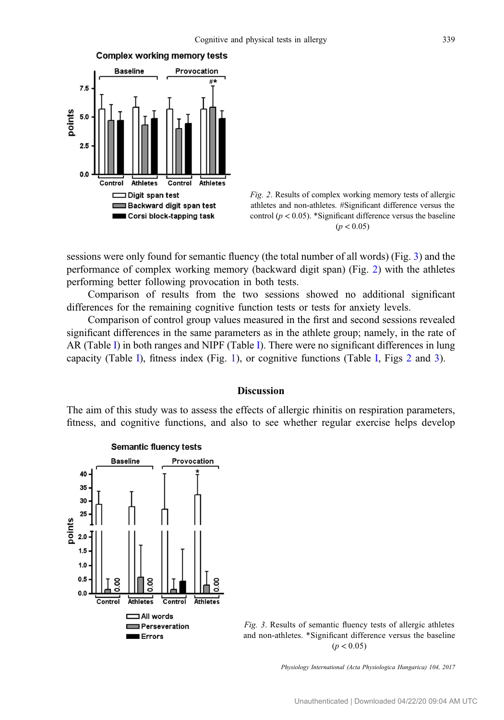<span id="page-5-0"></span>



sessions were only found for semantic fluency (the total number of all words) (Fig. 3) and the performance of complex working memory (backward digit span) (Fig. 2) with the athletes performing better following provocation in both tests.

Comparison of results from the two sessions showed no additional significant differences for the remaining cognitive function tests or tests for anxiety levels.

Comparison of control group values measured in the first and second sessions revealed significant differences in the same parameters as in the athlete group; namely, in the rate of AR (Table [I](#page-4-0)) in both ranges and NIPF (Table [I\)](#page-4-0). There were no significant differences in lung capacity (Table [I\)](#page-4-0), fitness index (Fig. [1](#page-3-0)), or cognitive functions (Table [I](#page-4-0), Figs 2 and 3).

## Discussion

The aim of this study was to assess the effects of allergic rhinitis on respiration parameters, fitness, and cognitive functions, and also to see whether regular exercise helps develop



Fig. 3. Results of semantic fluency tests of allergic athletes and non-athletes. \*Significant difference versus the baseline  $(p < 0.05)$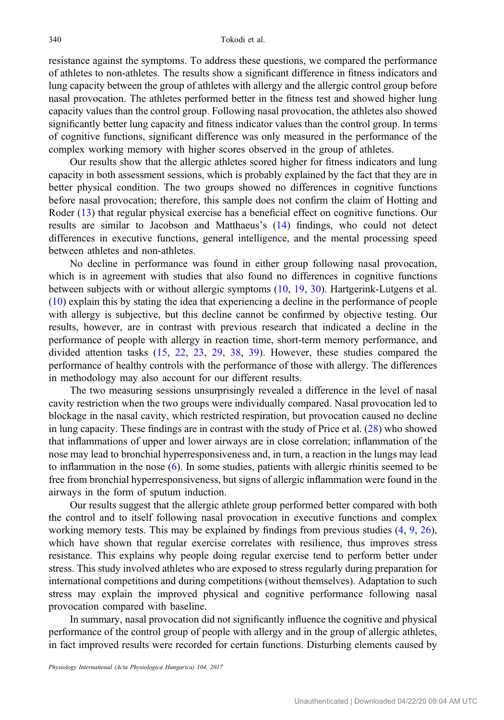resistance against the symptoms. To address these questions, we compared the performance of athletes to non-athletes. The results show a significant difference in fitness indicators and lung capacity between the group of athletes with allergy and the allergic control group before nasal provocation. The athletes performed better in the fitness test and showed higher lung capacity values than the control group. Following nasal provocation, the athletes also showed significantly better lung capacity and fitness indicator values than the control group. In terms of cognitive functions, significant difference was only measured in the performance of the complex working memory with higher scores observed in the group of athletes.

Our results show that the allergic athletes scored higher for fitness indicators and lung capacity in both assessment sessions, which is probably explained by the fact that they are in better physical condition. The two groups showed no differences in cognitive functions before nasal provocation; therefore, this sample does not confirm the claim of Hotting and Roder [\(13](#page-8-0)) that regular physical exercise has a beneficial effect on cognitive functions. Our results are similar to Jacobson and Matthaeus's [\(14](#page-8-0)) findings, who could not detect differences in executive functions, general intelligence, and the mental processing speed between athletes and non-athletes.

No decline in performance was found in either group following nasal provocation, which is in agreement with studies that also found no differences in cognitive functions between subjects with or without allergic symptoms [\(10](#page-7-0), [19,](#page-8-0) [30](#page-8-0)). Hartgerink-Lutgens et al. [\(10](#page-7-0)) explain this by stating the idea that experiencing a decline in the performance of people with allergy is subjective, but this decline cannot be confirmed by objective testing. Our results, however, are in contrast with previous research that indicated a decline in the performance of people with allergy in reaction time, short-term memory performance, and divided attention tasks [\(15](#page-8-0), [22](#page-8-0), [23,](#page-8-0) [29](#page-8-0), [38,](#page-9-0) [39\)](#page-9-0). However, these studies compared the performance of healthy controls with the performance of those with allergy. The differences in methodology may also account for our different results.

The two measuring sessions unsurprisingly revealed a difference in the level of nasal cavity restriction when the two groups were individually compared. Nasal provocation led to blockage in the nasal cavity, which restricted respiration, but provocation caused no decline in lung capacity. These findings are in contrast with the study of Price et al. ([28\)](#page-8-0) who showed that inflammations of upper and lower airways are in close correlation; inflammation of the nose may lead to bronchial hyperresponsiveness and, in turn, a reaction in the lungs may lead to inflammation in the nose  $(6)$  $(6)$ . In some studies, patients with allergic rhinitis seemed to be free from bronchial hyperresponsiveness, but signs of allergic inflammation were found in the airways in the form of sputum induction.

Our results suggest that the allergic athlete group performed better compared with both the control and to itself following nasal provocation in executive functions and complex working memory tests. This may be explained by findings from previous studies [\(4](#page-7-0), [9,](#page-7-0) [26](#page-8-0)), which have shown that regular exercise correlates with resilience, thus improves stress resistance. This explains why people doing regular exercise tend to perform better under stress. This study involved athletes who are exposed to stress regularly during preparation for international competitions and during competitions (without themselves). Adaptation to such stress may explain the improved physical and cognitive performance following nasal provocation compared with baseline.

In summary, nasal provocation did not significantly influence the cognitive and physical performance of the control group of people with allergy and in the group of allergic athletes, in fact improved results were recorded for certain functions. Disturbing elements caused by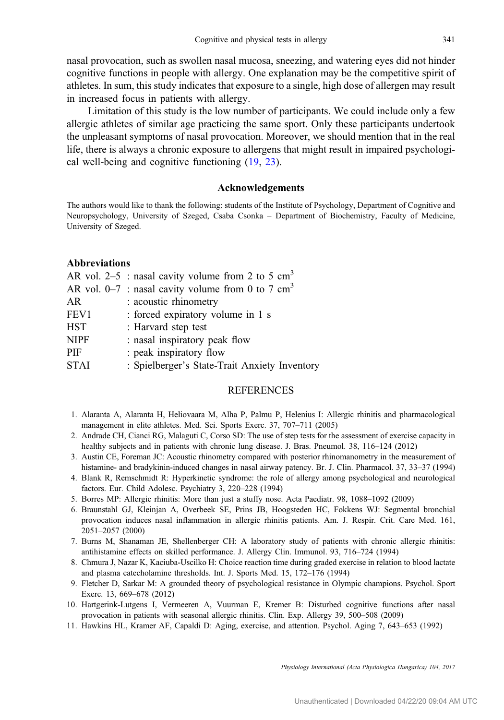<span id="page-7-0"></span>nasal provocation, such as swollen nasal mucosa, sneezing, and watering eyes did not hinder cognitive functions in people with allergy. One explanation may be the competitive spirit of athletes. In sum, this study indicates that exposure to a single, high dose of allergen may result in increased focus in patients with allergy.

Limitation of this study is the low number of participants. We could include only a few allergic athletes of similar age practicing the same sport. Only these participants undertook the unpleasant symptoms of nasal provocation. Moreover, we should mention that in the real life, there is always a chronic exposure to allergens that might result in impaired psychological well-being and cognitive functioning ([19,](#page-8-0) [23\)](#page-8-0).

#### Acknowledgements

The authors would like to thank the following: students of the Institute of Psychology, Department of Cognitive and Neuropsychology, University of Szeged, Csaba Csonka – Department of Biochemistry, Faculty of Medicine, University of Szeged.

## Abbreviations

|             | AR vol. 2–5 : nasal cavity volume from 2 to 5 $\text{cm}^3$ |
|-------------|-------------------------------------------------------------|
|             | AR vol. 0–7 : nasal cavity volume from 0 to 7 $\text{cm}^3$ |
| AR          | : acoustic rhinometry                                       |
| FEV1        | : forced expiratory volume in 1 s                           |
| <b>HST</b>  | : Harvard step test                                         |
| <b>NIPF</b> | : nasal inspiratory peak flow                               |
| PIF         | : peak inspiratory flow                                     |
| <b>STAI</b> | : Spielberger's State-Trait Anxiety Inventory               |
|             |                                                             |

#### REFERENCES

- 1. Alaranta A, Alaranta H, Heliovaara M, Alha P, Palmu P, Helenius I: Allergic rhinitis and pharmacological management in elite athletes. Med. Sci. Sports Exerc. 37, 707–711 (2005)
- 2. Andrade CH, Cianci RG, Malaguti C, Corso SD: The use of step tests for the assessment of exercise capacity in healthy subjects and in patients with chronic lung disease. J. Bras. Pneumol. 38, 116–124 (2012)
- 3. Austin CE, Foreman JC: Acoustic rhinometry compared with posterior rhinomanometry in the measurement of histamine- and bradykinin-induced changes in nasal airway patency. Br. J. Clin. Pharmacol. 37, 33–37 (1994)
- 4. Blank R, Remschmidt R: Hyperkinetic syndrome: the role of allergy among psychological and neurological factors. Eur. Child Adolesc. Psychiatry 3, 220–228 (1994)
- 5. Borres MP: Allergic rhinitis: More than just a stuffy nose. Acta Paediatr. 98, 1088–1092 (2009)
- 6. Braunstahl GJ, Kleinjan A, Overbeek SE, Prins JB, Hoogsteden HC, Fokkens WJ: Segmental bronchial provocation induces nasal inflammation in allergic rhinitis patients. Am. J. Respir. Crit. Care Med. 161, 2051–2057 (2000)
- 7. Burns M, Shanaman JE, Shellenberger CH: A laboratory study of patients with chronic allergic rhinitis: antihistamine effects on skilled performance. J. Allergy Clin. Immunol. 93, 716–724 (1994)
- 8. Chmura J, Nazar K, Kaciuba-Uscilko H: Choice reaction time during graded exercise in relation to blood lactate and plasma catecholamine thresholds. Int. J. Sports Med. 15, 172–176 (1994)
- 9. Fletcher D, Sarkar M: A grounded theory of psychological resistance in Olympic champions. Psychol. Sport Exerc. 13, 669–678 (2012)
- 10. Hartgerink-Lutgens I, Vermeeren A, Vuurman E, Kremer B: Disturbed cognitive functions after nasal provocation in patients with seasonal allergic rhinitis. Clin. Exp. Allergy 39, 500–508 (2009)
- 11. Hawkins HL, Kramer AF, Capaldi D: Aging, exercise, and attention. Psychol. Aging 7, 643–653 (1992)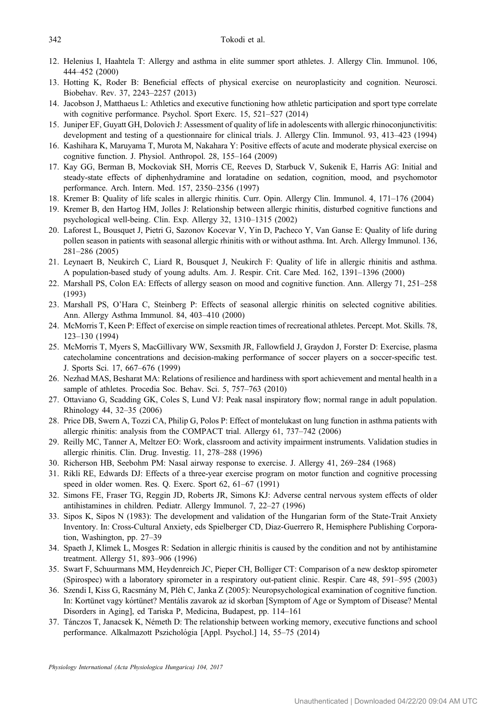- <span id="page-8-0"></span>12. Helenius I, Haahtela T: Allergy and asthma in elite summer sport athletes. J. Allergy Clin. Immunol. 106, 444–452 (2000)
- 13. Hotting K, Roder B: Beneficial effects of physical exercise on neuroplasticity and cognition. Neurosci. Biobehav. Rev. 37, 2243–2257 (2013)
- 14. Jacobson J, Matthaeus L: Athletics and executive functioning how athletic participation and sport type correlate with cognitive performance. Psychol. Sport Exerc. 15, 521–527 (2014)
- 15. Juniper EF, Guyatt GH, Dolovich J: Assessment of quality of life in adolescents with allergic rhinoconjunctivitis: development and testing of a questionnaire for clinical trials. J. Allergy Clin. Immunol. 93, 413–423 (1994)
- 16. Kashihara K, Maruyama T, Murota M, Nakahara Y: Positive effects of acute and moderate physical exercise on cognitive function. J. Physiol. Anthropol. 28, 155–164 (2009)
- 17. Kay GG, Berman B, Mockoviak SH, Morris CE, Reeves D, Starbuck V, Sukenik E, Harris AG: Initial and steady-state effects of diphenhydramine and loratadine on sedation, cognition, mood, and psychomotor performance. Arch. Intern. Med. 157, 2350–2356 (1997)
- 18. Kremer B: Quality of life scales in allergic rhinitis. Curr. Opin. Allergy Clin. Immunol. 4, 171–176 (2004)
- 19. Kremer B, den Hartog HM, Jolles J: Relationship between allergic rhinitis, disturbed cognitive functions and psychological well-being. Clin. Exp. Allergy 32, 1310–1315 (2002)
- 20. Laforest L, Bousquet J, Pietri G, Sazonov Kocevar V, Yin D, Pacheco Y, Van Ganse E: Quality of life during pollen season in patients with seasonal allergic rhinitis with or without asthma. Int. Arch. Allergy Immunol. 136, 281–286 (2005)
- 21. Leynaert B, Neukirch C, Liard R, Bousquet J, Neukirch F: Quality of life in allergic rhinitis and asthma. A population-based study of young adults. Am. J. Respir. Crit. Care Med. 162, 1391–1396 (2000)
- 22. Marshall PS, Colon EA: Effects of allergy season on mood and cognitive function. Ann. Allergy 71, 251–258 (1993)
- 23. Marshall PS, O'Hara C, Steinberg P: Effects of seasonal allergic rhinitis on selected cognitive abilities. Ann. Allergy Asthma Immunol. 84, 403–410 (2000)
- 24. McMorris T, Keen P: Effect of exercise on simple reaction times of recreational athletes. Percept. Mot. Skills. 78, 123–130 (1994)
- 25. McMorris T, Myers S, MacGillivary WW, Sexsmith JR, Fallowfield J, Graydon J, Forster D: Exercise, plasma catecholamine concentrations and decision-making performance of soccer players on a soccer-specific test. J. Sports Sci. 17, 667–676 (1999)
- 26. Nezhad MAS, Besharat MA: Relations of resilience and hardiness with sport achievement and mental health in a sample of athletes. Procedia Soc. Behav. Sci. 5, 757–763 (2010)
- 27. Ottaviano G, Scadding GK, Coles S, Lund VJ: Peak nasal inspiratory flow; normal range in adult population. Rhinology 44, 32–35 (2006)
- 28. Price DB, Swern A, Tozzi CA, Philip G, Polos P: Effect of montelukast on lung function in asthma patients with allergic rhinitis: analysis from the COMPACT trial. Allergy 61, 737–742 (2006)
- 29. Reilly MC, Tanner A, Meltzer EO: Work, classroom and activity impairment instruments. Validation studies in allergic rhinitis. Clin. Drug. Investig. 11, 278–288 (1996)
- 30. Richerson HB, Seebohm PM: Nasal airway response to exercise. J. Allergy 41, 269–284 (1968)
- 31. Rikli RE, Edwards DJ: Effects of a three-year exercise program on motor function and cognitive processing speed in older women. Res. Q. Exerc. Sport 62, 61–67 (1991)
- 32. Simons FE, Fraser TG, Reggin JD, Roberts JR, Simons KJ: Adverse central nervous system effects of older antihistamines in children. Pediatr. Allergy Immunol. 7, 22–27 (1996)
- 33. Sipos K, Sipos N (1983): The development and validation of the Hungarian form of the State-Trait Anxiety Inventory. In: Cross-Cultural Anxiety, eds Spielberger CD, Diaz-Guerrero R, Hemisphere Publishing Corporation, Washington, pp. 27–39
- 34. Spaeth J, Klimek L, Mosges R: Sedation in allergic rhinitis is caused by the condition and not by antihistamine treatment. Allergy 51, 893–906 (1996)
- 35. Swart F, Schuurmans MM, Heydenreich JC, Pieper CH, Bolliger CT: Comparison of a new desktop spirometer (Spirospec) with a laboratory spirometer in a respiratory out-patient clinic. Respir. Care 48, 591–595 (2003)
- 36. Szendi I, Kiss G, Racsmány M, Pléh C, Janka Z (2005): Neuropsychological examination of cognitive function. In: Kortünet vagy kórtünet? Mentális zavarok az id skorban [Symptom of Age or Symptom of Disease? Mental Disorders in Aging], ed Tariska P, Medicina, Budapest, pp. 114–161
- 37. Tánczos T, Janacsek K, Németh D: The relationship between working memory, executive functions and school performance. Alkalmazott Pszichológia [Appl. Psychol.] 14, 55-75 (2014)